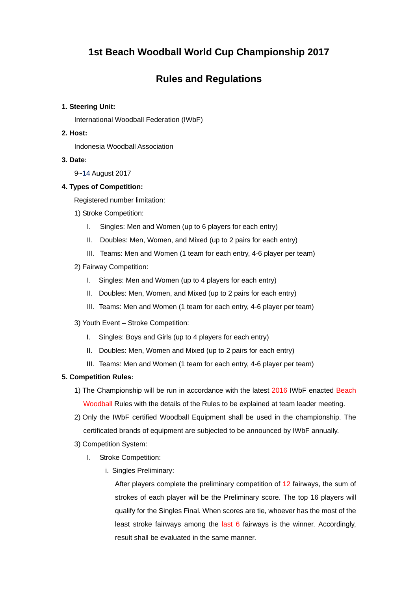# **1st Beach Woodball World Cup Championship 2017**

# **Rules and Regulations**

## **1. Steering Unit:**

International Woodball Federation (IWbF)

## **2. Host:**

Indonesia Woodball Association

## **3. Date:**

9~14 August 2017

## **4. Types of Competition:**

Registered number limitation:

- 1) Stroke Competition:
	- I. Singles: Men and Women (up to 6 players for each entry)
	- II. Doubles: Men, Women, and Mixed (up to 2 pairs for each entry)
	- III. Teams: Men and Women (1 team for each entry, 4-6 player per team)
- 2) Fairway Competition:
	- I. Singles: Men and Women (up to 4 players for each entry)
	- II. Doubles: Men, Women, and Mixed (up to 2 pairs for each entry)
	- III. Teams: Men and Women (1 team for each entry, 4-6 player per team)
- 3) Youth Event Stroke Competition:
	- I. Singles: Boys and Girls (up to 4 players for each entry)
	- II. Doubles: Men, Women and Mixed (up to 2 pairs for each entry)
	- III. Teams: Men and Women (1 team for each entry, 4-6 player per team)

# **5. Competition Rules:**

- 1) The Championship will be run in accordance with the latest 2016 IWbF enacted Beach Woodball Rules with the details of the Rules to be explained at team leader meeting.
- 2) Only the IWbF certified Woodball Equipment shall be used in the championship. The certificated brands of equipment are subjected to be announced by IWbF annually.
- 3) Competition System:
	- I. Stroke Competition:
		- i. Singles Preliminary:

After players complete the preliminary competition of 12 fairways, the sum of strokes of each player will be the Preliminary score. The top 16 players will qualify for the Singles Final. When scores are tie, whoever has the most of the least stroke fairways among the last 6 fairways is the winner. Accordingly, result shall be evaluated in the same manner.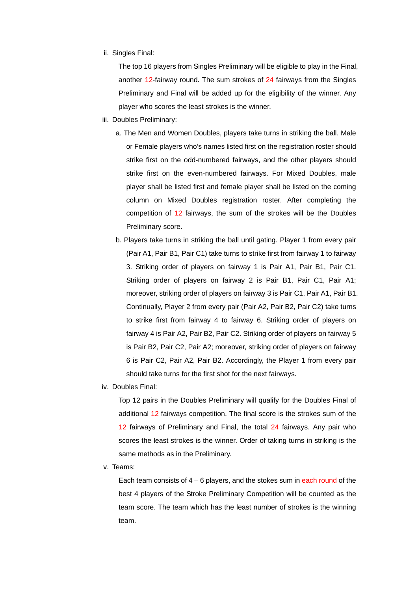ii. Singles Final:

The top 16 players from Singles Preliminary will be eligible to play in the Final, another 12-fairway round. The sum strokes of 24 fairways from the Singles Preliminary and Final will be added up for the eligibility of the winner. Any player who scores the least strokes is the winner.

- iii. Doubles Preliminary:
	- a. The Men and Women Doubles, players take turns in striking the ball. Male or Female players who's names listed first on the registration roster should strike first on the odd-numbered fairways, and the other players should strike first on the even-numbered fairways. For Mixed Doubles, male player shall be listed first and female player shall be listed on the coming column on Mixed Doubles registration roster. After completing the competition of 12 fairways, the sum of the strokes will be the Doubles Preliminary score.
	- b. Players take turns in striking the ball until gating. Player 1 from every pair (Pair A1, Pair B1, Pair C1) take turns to strike first from fairway 1 to fairway 3. Striking order of players on fairway 1 is Pair A1, Pair B1, Pair C1. Striking order of players on fairway 2 is Pair B1, Pair C1, Pair A1; moreover, striking order of players on fairway 3 is Pair C1, Pair A1, Pair B1. Continually, Player 2 from every pair (Pair A2, Pair B2, Pair C2) take turns to strike first from fairway 4 to fairway 6. Striking order of players on fairway 4 is Pair A2, Pair B2, Pair C2. Striking order of players on fairway 5 is Pair B2, Pair C2, Pair A2; moreover, striking order of players on fairway 6 is Pair C2, Pair A2, Pair B2. Accordingly, the Player 1 from every pair should take turns for the first shot for the next fairways.
- iv. Doubles Final:

Top 12 pairs in the Doubles Preliminary will qualify for the Doubles Final of additional 12 fairways competition. The final score is the strokes sum of the 12 fairways of Preliminary and Final, the total 24 fairways. Any pair who scores the least strokes is the winner. Order of taking turns in striking is the same methods as in the Preliminary.

v. Teams:

Each team consists of  $4 - 6$  players, and the stokes sum in each round of the best 4 players of the Stroke Preliminary Competition will be counted as the team score. The team which has the least number of strokes is the winning team.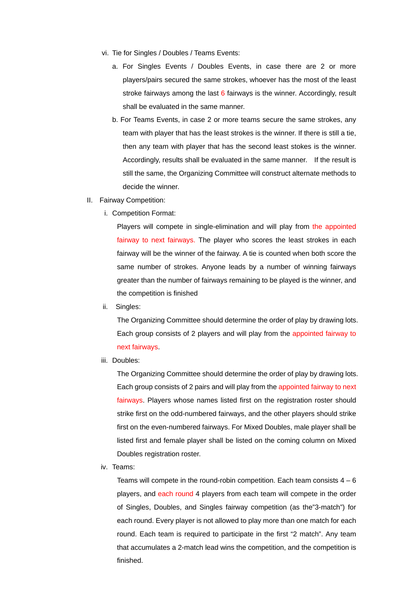- vi. Tie for Singles / Doubles / Teams Events:
	- a. For Singles Events / Doubles Events, in case there are 2 or more players/pairs secured the same strokes, whoever has the most of the least stroke fairways among the last 6 fairways is the winner. Accordingly, result shall be evaluated in the same manner.
	- b. For Teams Events, in case 2 or more teams secure the same strokes, any team with player that has the least strokes is the winner. If there is still a tie, then any team with player that has the second least stokes is the winner. Accordingly, results shall be evaluated in the same manner. If the result is still the same, the Organizing Committee will construct alternate methods to decide the winner.
- II. Fairway Competition:
	- i. Competition Format:

Players will compete in single-elimination and will play from the appointed fairway to next fairways. The player who scores the least strokes in each fairway will be the winner of the fairway. A tie is counted when both score the same number of strokes. Anyone leads by a number of winning fairways greater than the number of fairways remaining to be played is the winner, and the competition is finished

ii. Singles:

The Organizing Committee should determine the order of play by drawing lots. Each group consists of 2 players and will play from the appointed fairway to next fairways.

iii. Doubles:

The Organizing Committee should determine the order of play by drawing lots. Each group consists of 2 pairs and will play from the appointed fairway to next fairways. Players whose names listed first on the registration roster should strike first on the odd-numbered fairways, and the other players should strike first on the even-numbered fairways. For Mixed Doubles, male player shall be listed first and female player shall be listed on the coming column on Mixed Doubles registration roster.

iv. Teams:

Teams will compete in the round-robin competition. Each team consists  $4 - 6$ players, and each round 4 players from each team will compete in the order of Singles, Doubles, and Singles fairway competition (as the"3-match") for each round. Every player is not allowed to play more than one match for each round. Each team is required to participate in the first "2 match". Any team that accumulates a 2-match lead wins the competition, and the competition is finished.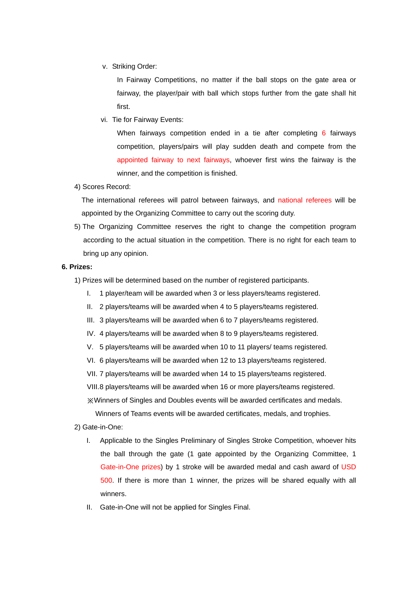v. Striking Order:

In Fairway Competitions, no matter if the ball stops on the gate area or fairway, the player/pair with ball which stops further from the gate shall hit first.

vi. Tie for Fairway Events:

When fairways competition ended in a tie after completing 6 fairways competition, players/pairs will play sudden death and compete from the appointed fairway to next fairways, whoever first wins the fairway is the winner, and the competition is finished.

4) Scores Record:

The international referees will patrol between fairways, and national referees will be appointed by the Organizing Committee to carry out the scoring duty.

5) The Organizing Committee reserves the right to change the competition program according to the actual situation in the competition. There is no right for each team to bring up any opinion.

#### **6. Prizes:**

- 1) Prizes will be determined based on the number of registered participants.
	- I. 1 player/team will be awarded when 3 or less players/teams registered.
	- II. 2 players/teams will be awarded when 4 to 5 players/teams registered.
	- III. 3 players/teams will be awarded when 6 to 7 players/teams registered.
	- IV. 4 players/teams will be awarded when 8 to 9 players/teams registered.
	- V. 5 players/teams will be awarded when 10 to 11 players/ teams registered.
	- VI. 6 players/teams will be awarded when 12 to 13 players/teams registered.
	- VII. 7 players/teams will be awarded when 14 to 15 players/teams registered.

VIII. 8 players/teams will be awarded when 16 or more players/teams registered.

※Winners of Singles and Doubles events will be awarded certificates and medals.

Winners of Teams events will be awarded certificates, medals, and trophies.

- 2) Gate-in-One:
	- I. Applicable to the Singles Preliminary of Singles Stroke Competition, whoever hits the ball through the gate (1 gate appointed by the Organizing Committee, 1 Gate-in-One prizes) by 1 stroke will be awarded medal and cash award of USD 500. If there is more than 1 winner, the prizes will be shared equally with all winners.
	- II. Gate-in-One will not be applied for Singles Final.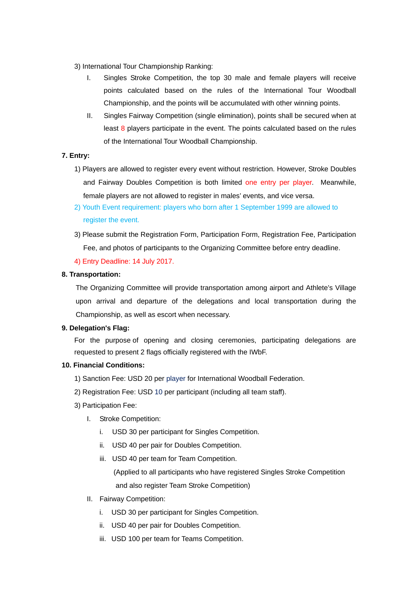- 3) International Tour Championship Ranking:
	- I. Singles Stroke Competition, the top 30 male and female players will receive points calculated based on the rules of the International Tour Woodball Championship, and the points will be accumulated with other winning points.
	- II. Singles Fairway Competition (single elimination), points shall be secured when at least 8 players participate in the event. The points calculated based on the rules of the International Tour Woodball Championship.

## **7. Entry:**

- 1) Players are allowed to register every event without restriction. However, Stroke Doubles and Fairway Doubles Competition is both limited one entry per player. Meanwhile, female players are not allowed to register in males' events, and vice versa.
- 2) Youth Event requirement: players who born after 1 September 1999 are allowed to register the event.
- 3) Please submit the Registration Form, Participation Form, Registration Fee, Participation Fee, and photos of participants to the Organizing Committee before entry deadline.
- 4) Entry Deadline: 14 July 2017.

## **8. Transportation:**

The Organizing Committee will provide transportation among airport and Athlete's Village upon arrival and departure of the delegations and local transportation during the Championship, as well as escort when necessary.

## **9. Delegation's Flag:**

For the purpose of opening and closing ceremonies, participating delegations are requested to present 2 flags officially registered with the IWbF.

### **10. Financial Conditions:**

- 1) Sanction Fee: USD 20 per player for International Woodball Federation.
- 2) Registration Fee: USD 10 per participant (including all team staff).
- 3) Participation Fee:
	- I. Stroke Competition:
		- i. USD 30 per participant for Singles Competition.
		- ii. USD 40 per pair for Doubles Competition.
		- iii. USD 40 per team for Team Competition.

 (Applied to all participants who have registered Singles Stroke Competition and also register Team Stroke Competition)

- II. Fairway Competition:
	- i. USD 30 per participant for Singles Competition.
	- ii. USD 40 per pair for Doubles Competition.
	- iii. USD 100 per team for Teams Competition.